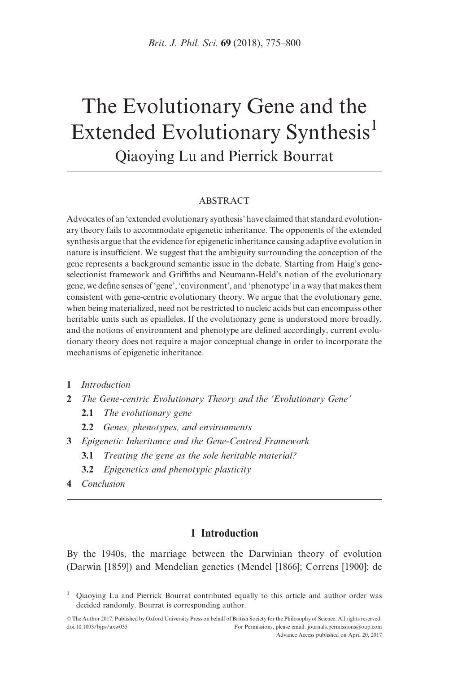# The Evolutionary Gene and the Extended Evolutionary Synthesis<sup>1</sup> Qiaoying Lu and Pierrick Bourrat

#### ABSTRACT

Advocates of an 'extended evolutionary synthesis' have claimed that standard evolutionary theory fails to accommodate epigenetic inheritance. The opponents of the extended synthesis argue that the evidence for epigenetic inheritance causing adaptive evolution in nature is insufficient. We suggest that the ambiguity surrounding the conception of the gene represents a background semantic issue in the debate. Starting from Haig's geneselectionist framework and Griffiths and Neumann-Held's notion of the evolutionary gene, we define senses of 'gene', 'environment', and 'phenotype' in a way that makes them consistent with gene-centric evolutionary theory. We argue that the evolutionary gene, when being materialized, need not be restricted to nucleic acids but can encompass other heritable units such as epialleles. If the evolutionary gene is understood more broadly, and the notions of environment and phenotype are defined accordingly, current evolutionary theory does not require a major conceptual change in order to incorporate the mechanisms of epigenetic inheritance.

- 1 Introduction
- 2 The Gene-centric Evolutionary Theory and the 'Evolutionary Gene'
	- 2.1 The evolutionary gene
	- 2.2 Genes, phenotypes, and environments
- 3 Epigenetic Inheritance and the Gene-Centred Framework
	- 3.1 Treating the gene as the sole heritable material?
	- 3.2 Epigenetics and phenotypic plasticity
- 4 Conclusion

# 1 Introduction

By the 1940s, the marriage between the Darwinian theory of evolution ([Darwin \[1859\]](#page-21-0)) and Mendelian genetics [\(Mendel \[1866\]](#page-23-0); [Correns \[1900\]](#page-21-0); [de](#page-25-0)

<sup>&</sup>lt;sup>1</sup> Qiaoying Lu and Pierrick Bourrat contributed equally to this article and author order was decided randomly. Bourrat is corresponding author.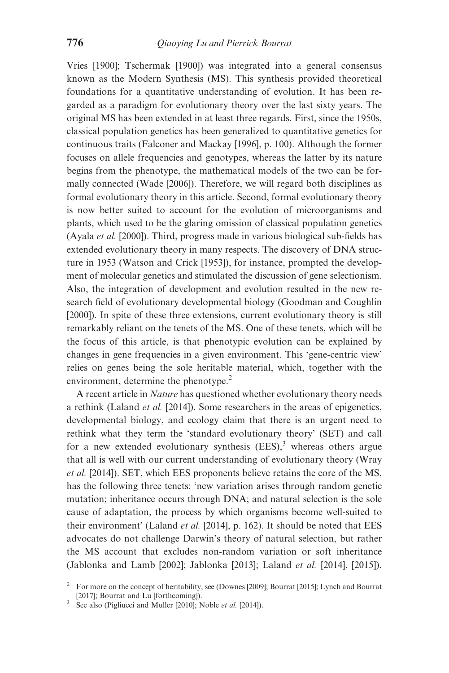[Vries \[1900\]; Tschermak \[1900\]](#page-25-0)) was integrated into a general consensus known as the Modern Synthesis (MS). This synthesis provided theoretical foundations for a quantitative understanding of evolution. It has been regarded as a paradigm for evolutionary theory over the last sixty years. The original MS has been extended in at least three regards. First, since the 1950s, classical population genetics has been generalized to quantitative genetics for continuous traits ([Falconer and Mackay \[1996\]](#page-22-0), p. 100). Although the former focuses on allele frequencies and genotypes, whereas the latter by its nature begins from the phenotype, the mathematical models of the two can be formally connected ([Wade \[2006\]](#page-25-0)). Therefore, we will regard both disciplines as formal evolutionary theory in this article. Second, formal evolutionary theory is now better suited to account for the evolution of microorganisms and plants, which used to be the glaring omission of classical population genetics ([Ayala](#page-20-0) et al. [2000]). Third, progress made in various biological sub-fields has extended evolutionary theory in many respects. The discovery of DNA structure in 1953 ([Watson and Crick \[1953\]](#page-25-0)), for instance, prompted the development of molecular genetics and stimulated the discussion of gene selectionism. Also, the integration of development and evolution resulted in the new research field of evolutionary developmental biology [\(Goodman and Coughlin](#page-22-0) [\[2000\]\)](#page-22-0). In spite of these three extensions, current evolutionary theory is still remarkably reliant on the tenets of the MS. One of these tenets, which will be the focus of this article, is that phenotypic evolution can be explained by changes in gene frequencies in a given environment. This 'gene-centric view' relies on genes being the sole heritable material, which, together with the environment, determine the phenotype.<sup>2</sup>

A recent article in Nature has questioned whether evolutionary theory needs a rethink ([Laland](#page-23-0) et al. [2014]). Some researchers in the areas of epigenetics, developmental biology, and ecology claim that there is an urgent need to rethink what they term the 'standard evolutionary theory' (SET) and call for a new extended evolutionary synthesis  $(EES)$ ,<sup>3</sup> whereas others argue that all is well with our current understanding of evolutionary theory [\(Wray](#page-25-0) et al. [\[2014\]](#page-25-0)). SET, which EES proponents believe retains the core of the MS, has the following three tenets: 'new variation arises through random genetic mutation; inheritance occurs through DNA; and natural selection is the sole cause of adaptation, the process by which organisms become well-suited to their environment' ([Laland](#page-23-0) *et al.* [2014], p. 162). It should be noted that EES advocates do not challenge Darwin's theory of natural selection, but rather the MS account that excludes non-random variation or soft inheritance ([Jablonka and Lamb \[2002\]; Jablonka \[2013\]](#page-23-0); [Laland](#page-23-0) et al. [2014], [\[2015\]\)](#page-23-0).

<sup>&</sup>lt;sup>2</sup> For more on the concept of heritability, see ([Downes \[2009\]](#page-21-0); [Bourrat \[2015\];](#page-21-0) [Lynch and Bourrat](#page-23-0) [2017]; Bourrat and Lu [forthcoming]).

 $\frac{20017}{3}$  See also ([Pigliucci and Muller \[2010\]; Noble](#page-24-0) *et al.* [2014]).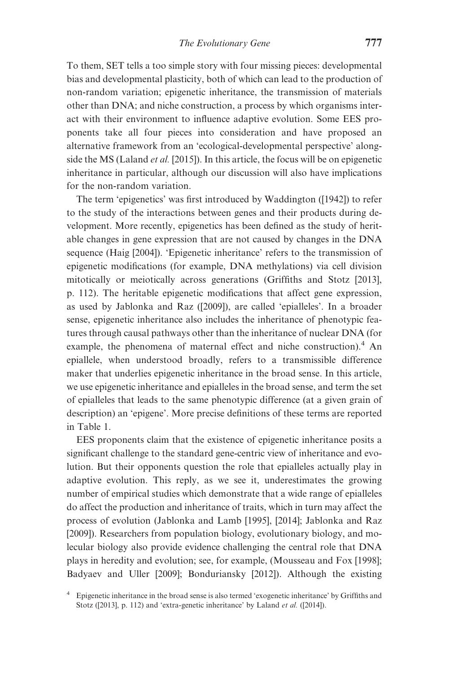To them, SET tells a too simple story with four missing pieces: developmental bias and developmental plasticity, both of which can lead to the production of non-random variation; epigenetic inheritance, the transmission of materials other than DNA; and niche construction, a process by which organisms interact with their environment to influence adaptive evolution. Some EES proponents take all four pieces into consideration and have proposed an alternative framework from an 'ecological-developmental perspective' alongside the MS ([Laland](#page-23-0) et al. [2015]). In this article, the focus will be on epigenetic inheritance in particular, although our discussion will also have implications for the non-random variation.

The term 'epigenetics' was first introduced by Waddington ([[1942\]](#page-25-0)) to refer to the study of the interactions between genes and their products during development. More recently, epigenetics has been defined as the study of heritable changes in gene expression that are not caused by changes in the DNA sequence ([Haig \[2004\]\)](#page-22-0). 'Epigenetic inheritance' refers to the transmission of epigenetic modifications (for example, DNA methylations) via cell division mitotically or meiotically across generations [\(Griffiths and Stotz \[2013\],](#page-22-0) p. 112). The heritable epigenetic modifications that affect gene expression, as used by Jablonka and Raz ([\[2009](#page-23-0)]), are called 'epialleles'. In a broader sense, epigenetic inheritance also includes the inheritance of phenotypic features through causal pathways other than the inheritance of nuclear DNA (for example, the phenomena of maternal effect and niche construction).<sup>4</sup> An epiallele, when understood broadly, refers to a transmissible difference maker that underlies epigenetic inheritance in the broad sense. In this article, we use epigenetic inheritance and epialleles in the broad sense, and term the set of epialleles that leads to the same phenotypic difference (at a given grain of description) an 'epigene'. More precise definitions of these terms are reported in [Table 1.](#page-3-0)

EES proponents claim that the existence of epigenetic inheritance posits a significant challenge to the standard gene-centric view of inheritance and evolution. But their opponents question the role that epialleles actually play in adaptive evolution. This reply, as we see it, underestimates the growing number of empirical studies which demonstrate that a wide range of epialleles do affect the production and inheritance of traits, which in turn may affect the process of evolution [\(Jablonka and Lamb \[1995\], \[2014\]; Jablonka and Raz](#page-23-0) [\[2009\]\)](#page-23-0). Researchers from population biology, evolutionary biology, and molecular biology also provide evidence challenging the central role that DNA plays in heredity and evolution; see, for example, [\(Mousseau and Fox \[1998\];](#page-24-0) [Badyaev and Uller \[2009\]](#page-21-0); [Bonduriansky \[2012\]](#page-21-0)). Although the existing

<sup>4</sup> Epigenetic inheritance in the broad sense is also termed 'exogenetic inheritance' by Griffiths and Stotz ([\[2013](#page-22-0)], p. 112) and 'extra-genetic inheritance' by Laland et al. ([\[2014](#page-23-0)]).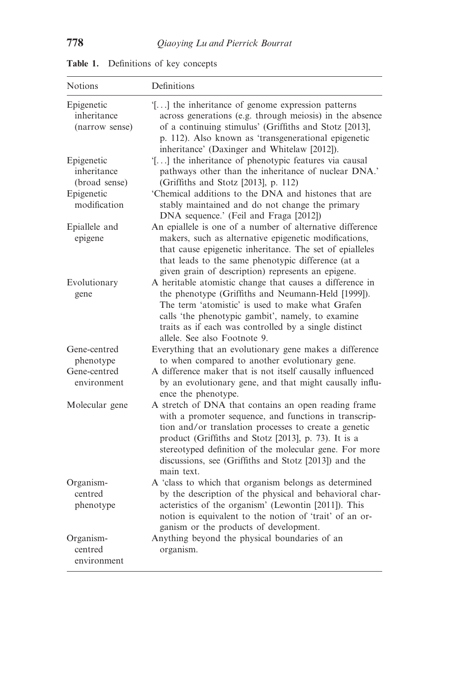| <b>Notions</b>                              | Definitions                                                                                                                                                                                                                                                                                                                                                     |
|---------------------------------------------|-----------------------------------------------------------------------------------------------------------------------------------------------------------------------------------------------------------------------------------------------------------------------------------------------------------------------------------------------------------------|
| Epigenetic<br>inheritance<br>(narrow sense) | '[] the inheritance of genome expression patterns<br>across generations (e.g. through meiosis) in the absence<br>of a continuing stimulus' (Griffiths and Stotz [2013],<br>p. 112). Also known as 'transgenerational epigenetic<br>inheritance' (Daxinger and Whitelaw [2012]).                                                                                 |
| Epigenetic<br>inheritance<br>(broad sense)  | '[] the inheritance of phenotypic features via causal<br>pathways other than the inheritance of nuclear DNA.'<br>(Griffiths and Stotz [2013], p. 112)                                                                                                                                                                                                           |
| Epigenetic<br>modification                  | 'Chemical additions to the DNA and histones that are<br>stably maintained and do not change the primary<br>DNA sequence.' (Feil and Fraga [2012])                                                                                                                                                                                                               |
| Epiallele and<br>epigene                    | An epiallele is one of a number of alternative difference<br>makers, such as alternative epigenetic modifications,<br>that cause epigenetic inheritance. The set of epialleles<br>that leads to the same phenotypic difference (at a<br>given grain of description) represents an epigene.                                                                      |
| Evolutionary<br>gene                        | A heritable atomistic change that causes a difference in<br>the phenotype (Griffiths and Neumann-Held [1999]).<br>The term 'atomistic' is used to make what Grafen<br>calls 'the phenotypic gambit', namely, to examine<br>traits as if each was controlled by a single distinct<br>allele. See also Footnote 9.                                                |
| Gene-centred<br>phenotype                   | Everything that an evolutionary gene makes a difference<br>to when compared to another evolutionary gene.                                                                                                                                                                                                                                                       |
| Gene-centred<br>environment                 | A difference maker that is not itself causally influenced<br>by an evolutionary gene, and that might causally influ-<br>ence the phenotype.                                                                                                                                                                                                                     |
| Molecular gene                              | A stretch of DNA that contains an open reading frame<br>with a promoter sequence, and functions in transcrip-<br>tion and/or translation processes to create a genetic<br>product (Griffiths and Stotz [2013], p. 73). It is a<br>stereotyped definition of the molecular gene. For more<br>discussions, see (Griffiths and Stotz [2013]) and the<br>main text. |
| Organism-<br>centred<br>phenotype           | A 'class to which that organism belongs as determined<br>by the description of the physical and behavioral char-<br>acteristics of the organism' (Lewontin [2011]). This<br>notion is equivalent to the notion of 'trait' of an or-<br>ganism or the products of development.                                                                                   |
| Organism-<br>centred<br>environment         | Anything beyond the physical boundaries of an<br>organism.                                                                                                                                                                                                                                                                                                      |

<span id="page-3-0"></span>Table 1. Definitions of key concepts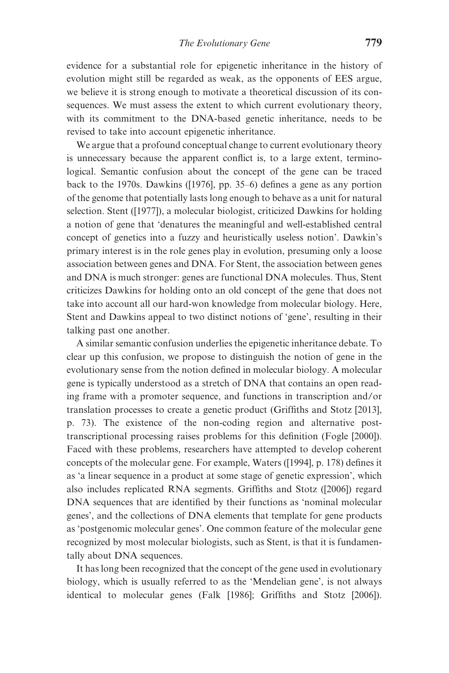evidence for a substantial role for epigenetic inheritance in the history of evolution might still be regarded as weak, as the opponents of EES argue, we believe it is strong enough to motivate a theoretical discussion of its consequences. We must assess the extent to which current evolutionary theory, with its commitment to the DNA-based genetic inheritance, needs to be revised to take into account epigenetic inheritance.

We argue that a profound conceptual change to current evolutionary theory is unnecessary because the apparent conflict is, to a large extent, terminological. Semantic confusion about the concept of the gene can be traced back to the 1970s. Dawkins ([\[1976](#page-21-0)], pp. 35–6) defines a gene as any portion of the genome that potentially lasts long enough to behave as a unit for natural selection. Stent ([[1977\]](#page-24-0)), a molecular biologist, criticized Dawkins for holding a notion of gene that 'denatures the meaningful and well-established central concept of genetics into a fuzzy and heuristically useless notion'. Dawkin's primary interest is in the role genes play in evolution, presuming only a loose association between genes and DNA. For Stent, the association between genes and DNA is much stronger: genes are functional DNA molecules. Thus, Stent criticizes Dawkins for holding onto an old concept of the gene that does not take into account all our hard-won knowledge from molecular biology. Here, Stent and Dawkins appeal to two distinct notions of 'gene', resulting in their talking past one another.

A similar semantic confusion underlies the epigenetic inheritance debate. To clear up this confusion, we propose to distinguish the notion of gene in the evolutionary sense from the notion defined in molecular biology. A molecular gene is typically understood as a stretch of DNA that contains an open reading frame with a promoter sequence, and functions in transcription and/or translation processes to create a genetic product ([Griffiths and Stotz \[2013\],](#page-22-0) p. 73). The existence of the non-coding region and alternative posttranscriptional processing raises problems for this definition [\(Fogle \[2000\]\)](#page-22-0). Faced with these problems, researchers have attempted to develop coherent concepts of the molecular gene. For example, Waters ([\[1994](#page-25-0)], p. 178) defines it as 'a linear sequence in a product at some stage of genetic expression', which also includes replicated RNA segments. Griffiths and Stotz ([[2006\]](#page-22-0)) regard DNA sequences that are identified by their functions as 'nominal molecular genes', and the collections of DNA elements that template for gene products as 'postgenomic molecular genes'. One common feature of the molecular gene recognized by most molecular biologists, such as Stent, is that it is fundamentally about DNA sequences.

It has long been recognized that the concept of the gene used in evolutionary biology, which is usually referred to as the 'Mendelian gene', is not always identical to molecular genes ([Falk \[1986\]](#page-22-0); [Griffiths and Stotz \[2006\]\)](#page-22-0).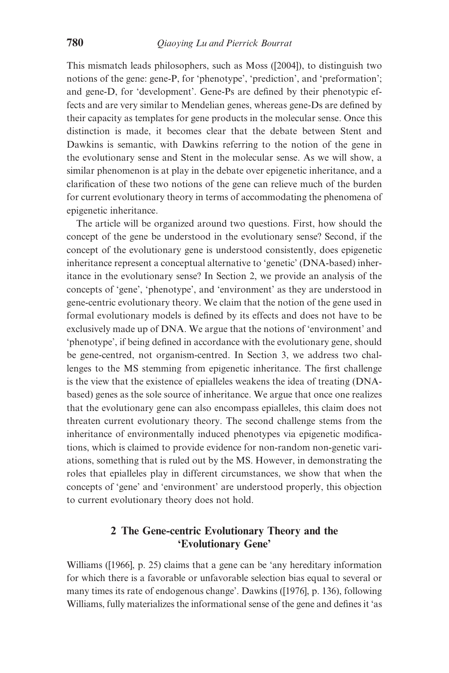This mismatch leads philosophers, such as Moss ([[2004\]](#page-24-0)), to distinguish two notions of the gene: gene-P, for 'phenotype', 'prediction', and 'preformation'; and gene-D, for 'development'. Gene-Ps are defined by their phenotypic effects and are very similar to Mendelian genes, whereas gene-Ds are defined by their capacity as templates for gene products in the molecular sense. Once this distinction is made, it becomes clear that the debate between Stent and Dawkins is semantic, with Dawkins referring to the notion of the gene in the evolutionary sense and Stent in the molecular sense. As we will show, a similar phenomenon is at play in the debate over epigenetic inheritance, and a clarification of these two notions of the gene can relieve much of the burden for current evolutionary theory in terms of accommodating the phenomena of epigenetic inheritance.

The article will be organized around two questions. First, how should the concept of the gene be understood in the evolutionary sense? Second, if the concept of the evolutionary gene is understood consistently, does epigenetic inheritance represent a conceptual alternative to 'genetic' (DNA-based) inheritance in the evolutionary sense? In Section 2, we provide an analysis of the concepts of 'gene', 'phenotype', and 'environment' as they are understood in gene-centric evolutionary theory. We claim that the notion of the gene used in formal evolutionary models is defined by its effects and does not have to be exclusively made up of DNA. We argue that the notions of 'environment' and 'phenotype', if being defined in accordance with the evolutionary gene, should be gene-centred, not organism-centred. In Section 3, we address two challenges to the MS stemming from epigenetic inheritance. The first challenge is the view that the existence of epialleles weakens the idea of treating (DNAbased) genes as the sole source of inheritance. We argue that once one realizes that the evolutionary gene can also encompass epialleles, this claim does not threaten current evolutionary theory. The second challenge stems from the inheritance of environmentally induced phenotypes via epigenetic modifications, which is claimed to provide evidence for non-random non-genetic variations, something that is ruled out by the MS. However, in demonstrating the roles that epialleles play in different circumstances, we show that when the concepts of 'gene' and 'environment' are understood properly, this objection to current evolutionary theory does not hold.

# 2 The Gene-centric Evolutionary Theory and the 'Evolutionary Gene'

Williams ([\[1966\]](#page-25-0), p. 25) claims that a gene can be 'any hereditary information for which there is a favorable or unfavorable selection bias equal to several or many times its rate of endogenous change'. Dawkins ([\[1976\]](#page-21-0), p. 136), following Williams, fully materializes the informational sense of the gene and defines it 'as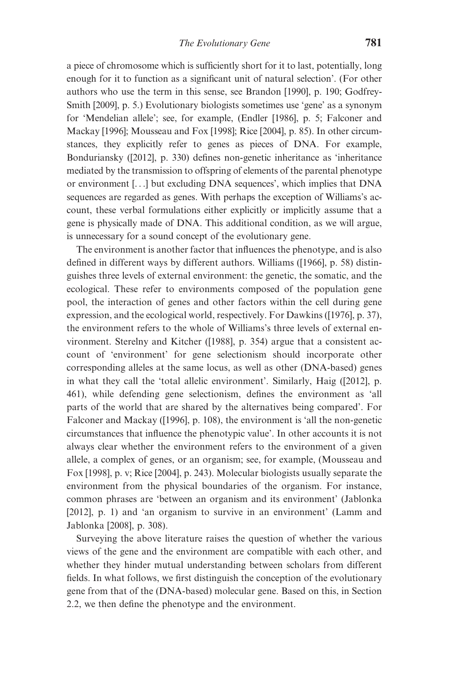a piece of chromosome which is sufficiently short for it to last, potentially, long enough for it to function as a significant unit of natural selection'. (For other authors who use the term in this sense, see [Brandon \[1990\],](#page-21-0) p. 190; [Godfrey-](#page-22-0)[Smith \[2009\]](#page-22-0), p. 5.) Evolutionary biologists sometimes use 'gene' as a synonym for 'Mendelian allele'; see, for example, [\(Endler \[1986\],](#page-21-0) p. 5; [Falconer and](#page-22-0) [Mackay \[1996\]](#page-22-0); [Mousseau and Fox \[1998\]](#page-24-0); [Rice \[2004](#page-24-0)], p. 85). In other circumstances, they explicitly refer to genes as pieces of DNA. For example, Bonduriansky ([\[2012](#page-21-0)], p. 330) defines non-genetic inheritance as 'inheritance mediated by the transmission to offspring of elements of the parental phenotype or environment [...] but excluding DNA sequences', which implies that DNA sequences are regarded as genes. With perhaps the exception of Williams's account, these verbal formulations either explicitly or implicitly assume that a gene is physically made of DNA. This additional condition, as we will argue, is unnecessary for a sound concept of the evolutionary gene.

The environment is another factor that influences the phenotype, and is also defined in different ways by different authors. Williams ([\[1966](#page-25-0)], p. 58) distinguishes three levels of external environment: the genetic, the somatic, and the ecological. These refer to environments composed of the population gene pool, the interaction of genes and other factors within the cell during gene expression, and the ecological world, respectively. For Dawkins ([[1976\]](#page-21-0), p. 37), the environment refers to the whole of Williams's three levels of external environment. Sterelny and Kitcher ([[1988\]](#page-25-0), p. 354) argue that a consistent account of 'environment' for gene selectionism should incorporate other corresponding alleles at the same locus, as well as other (DNA-based) genes in what they call the 'total allelic environment'. Similarly, Haig ([[2012\]](#page-22-0), p. 461), while defending gene selectionism, defines the environment as 'all parts of the world that are shared by the alternatives being compared'. For Falconer and Mackay ([\[1996](#page-22-0)], p. 108), the environment is 'all the non-genetic circumstances that influence the phenotypic value'. In other accounts it is not always clear whether the environment refers to the environment of a given allele, a complex of genes, or an organism; see, for example, [\(Mousseau and](#page-24-0) [Fox \[1998\]](#page-24-0), p. v; [Rice \[2004](#page-24-0)], p. 243). Molecular biologists usually separate the environment from the physical boundaries of the organism. For instance, common phrases are 'between an organism and its environment' ([Jablonka](#page-23-0) [\[2012\],](#page-23-0) p. 1) and 'an organism to survive in an environment' ([Lamm and](#page-23-0) [Jablonka \[2008\],](#page-23-0) p. 308).

Surveying the above literature raises the question of whether the various views of the gene and the environment are compatible with each other, and whether they hinder mutual understanding between scholars from different fields. In what follows, we first distinguish the conception of the evolutionary gene from that of the (DNA-based) molecular gene. Based on this, in Section 2.2, we then define the phenotype and the environment.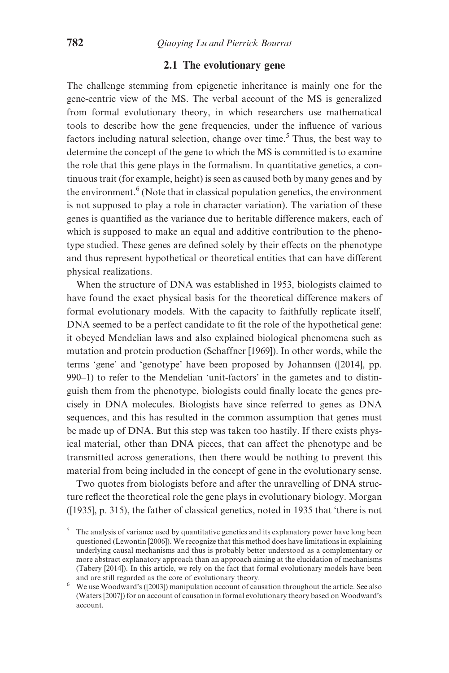## 2.1 The evolutionary gene

The challenge stemming from epigenetic inheritance is mainly one for the gene-centric view of the MS. The verbal account of the MS is generalized from formal evolutionary theory, in which researchers use mathematical tools to describe how the gene frequencies, under the influence of various factors including natural selection, change over time.<sup>5</sup> Thus, the best way to determine the concept of the gene to which the MS is committed is to examine the role that this gene plays in the formalism. In quantitative genetics, a continuous trait (for example, height) is seen as caused both by many genes and by the environment.<sup> $6$ </sup> (Note that in classical population genetics, the environment is not supposed to play a role in character variation). The variation of these genes is quantified as the variance due to heritable difference makers, each of which is supposed to make an equal and additive contribution to the phenotype studied. These genes are defined solely by their effects on the phenotype and thus represent hypothetical or theoretical entities that can have different physical realizations.

When the structure of DNA was established in 1953, biologists claimed to have found the exact physical basis for the theoretical difference makers of formal evolutionary models. With the capacity to faithfully replicate itself, DNA seemed to be a perfect candidate to fit the role of the hypothetical gene: it obeyed Mendelian laws and also explained biological phenomena such as mutation and protein production ([Schaffner \[1969\]\)](#page-24-0). In other words, while the terms 'gene' and 'genotype' have been proposed by Johannsen ([[2014\]](#page-23-0), pp. 990–1) to refer to the Mendelian 'unit-factors' in the gametes and to distinguish them from the phenotype, biologists could finally locate the genes precisely in DNA molecules. Biologists have since referred to genes as DNA sequences, and this has resulted in the common assumption that genes must be made up of DNA. But this step was taken too hastily. If there exists physical material, other than DNA pieces, that can affect the phenotype and be transmitted across generations, then there would be nothing to prevent this material from being included in the concept of gene in the evolutionary sense.

Two quotes from biologists before and after the unravelling of DNA structure reflect the theoretical role the gene plays in evolutionary biology. Morgan ([\[1935](#page-24-0)], p. 315), the father of classical genetics, noted in 1935 that 'there is not

 $\frac{5}{10}$ . The analysis of variance used by quantitative genetics and its explanatory power have long been questioned ([Lewontin \[2006\]\)](#page-23-0). We recognize that this method does have limitations in explaining underlying causal mechanisms and thus is probably better understood as a complementary or more abstract explanatory approach than an approach aiming at the elucidation of mechanisms ([Tabery \[2014\]\)](#page-25-0). In this article, we rely on the fact that formal evolutionary models have been

 $6$  We use Woodward's ([\[2003](#page-25-0)]) manipulation account of causation throughout the article. See also ([Waters \[2007\]\)](#page-25-0) for an account of causation in formal evolutionary theory based on Woodward's account.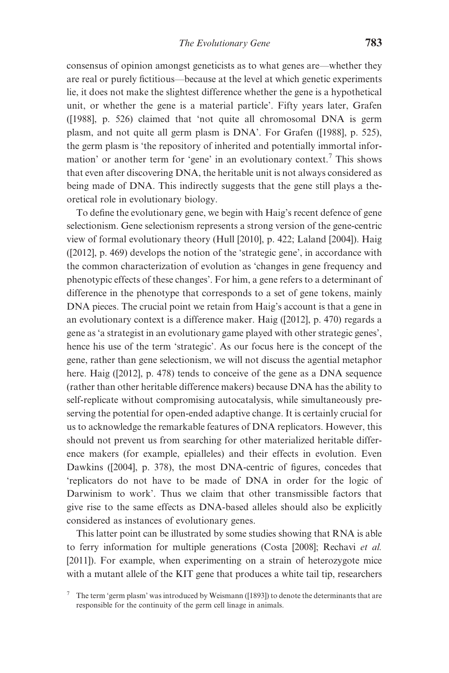consensus of opinion amongst geneticists as to what genes are—whether they are real or purely fictitious—because at the level at which genetic experiments lie, it does not make the slightest difference whether the gene is a hypothetical unit, or whether the gene is a material particle'. Fifty years later, Grafen ([\[1988](#page-22-0)], p. 526) claimed that 'not quite all chromosomal DNA is germ plasm, and not quite all germ plasm is DNA'. For Grafen ([[1988\]](#page-22-0), p. 525), the germ plasm is 'the repository of inherited and potentially immortal information' or another term for 'gene' in an evolutionary context.<sup>7</sup> This shows that even after discovering DNA, the heritable unit is not always considered as being made of DNA. This indirectly suggests that the gene still plays a theoretical role in evolutionary biology.

To define the evolutionary gene, we begin with Haig's recent defence of gene selectionism. Gene selectionism represents a strong version of the gene-centric view of formal evolutionary theory [\(Hull \[2010\],](#page-22-0) p. 422; [Laland \[2004\]](#page-23-0)). Haig ([\[2012](#page-22-0)], p. 469) develops the notion of the 'strategic gene', in accordance with the common characterization of evolution as 'changes in gene frequency and phenotypic effects of these changes'. For him, a gene refers to a determinant of difference in the phenotype that corresponds to a set of gene tokens, mainly DNA pieces. The crucial point we retain from Haig's account is that a gene in an evolutionary context is a difference maker. Haig ([\[2012](#page-22-0)], p. 470) regards a gene as 'a strategist in an evolutionary game played with other strategic genes', hence his use of the term 'strategic'. As our focus here is the concept of the gene, rather than gene selectionism, we will not discuss the agential metaphor here. Haig ([[2012\]](#page-22-0), p. 478) tends to conceive of the gene as a DNA sequence (rather than other heritable difference makers) because DNA has the ability to self-replicate without compromising autocatalysis, while simultaneously preserving the potential for open-ended adaptive change. It is certainly crucial for us to acknowledge the remarkable features of DNA replicators. However, this should not prevent us from searching for other materialized heritable difference makers (for example, epialleles) and their effects in evolution. Even Dawkins ([[2004\]](#page-23-0), p. 378), the most DNA-centric of figures, concedes that 'replicators do not have to be made of DNA in order for the logic of Darwinism to work'. Thus we claim that other transmissible factors that give rise to the same effects as DNA-based alleles should also be explicitly considered as instances of evolutionary genes.

This latter point can be illustrated by some studies showing that RNA is able to ferry information for multiple generations [\(Costa \[2008\]](#page-21-0); [Rechavi](#page-24-0) et al. [\[2011\]](#page-24-0)). For example, when experimenting on a strain of heterozygote mice with a mutant allele of the KIT gene that produces a white tail tip, researchers

<sup>7</sup> The term 'germ plasm' was introduced by Weismann ([[1893\]](#page-25-0)) to denote the determinants that are responsible for the continuity of the germ cell linage in animals.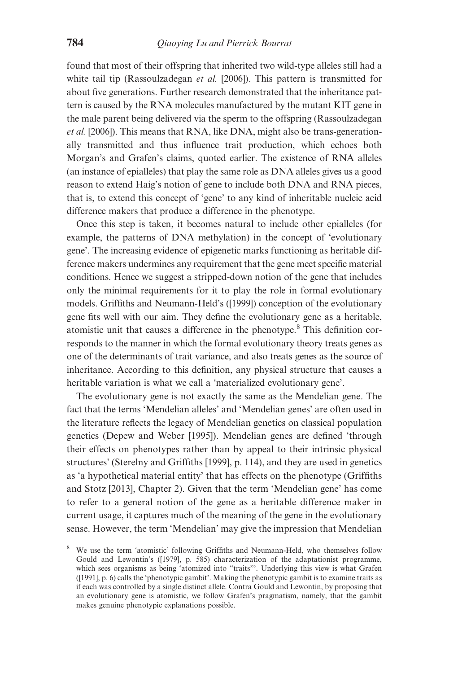found that most of their offspring that inherited two wild-type alleles still had a white tail tip ([Rassoulzadegan](#page-24-0) et al. [2006]). This pattern is transmitted for about five generations. Further research demonstrated that the inheritance pattern is caused by the RNA molecules manufactured by the mutant KIT gene in the male parent being delivered via the sperm to the offspring ([Rassoulzadegan](#page-24-0) et al. [\[2006\]](#page-24-0)). This means that RNA, like DNA, might also be trans-generationally transmitted and thus influence trait production, which echoes both Morgan's and Grafen's claims, quoted earlier. The existence of RNA alleles (an instance of epialleles) that play the same role as DNA alleles gives us a good reason to extend Haig's notion of gene to include both DNA and RNA pieces, that is, to extend this concept of 'gene' to any kind of inheritable nucleic acid difference makers that produce a difference in the phenotype.

Once this step is taken, it becomes natural to include other epialleles (for example, the patterns of DNA methylation) in the concept of 'evolutionary gene'. The increasing evidence of epigenetic marks functioning as heritable difference makers undermines any requirement that the gene meet specific material conditions. Hence we suggest a stripped-down notion of the gene that includes only the minimal requirements for it to play the role in formal evolutionary models. Griffiths and Neumann-Held's ([\[1999\]](#page-24-0)) conception of the evolutionary gene fits well with our aim. They define the evolutionary gene as a heritable, atomistic unit that causes a difference in the phenotype.8 This definition corresponds to the manner in which the formal evolutionary theory treats genes as one of the determinants of trait variance, and also treats genes as the source of inheritance. According to this definition, any physical structure that causes a heritable variation is what we call a 'materialized evolutionary gene'.

The evolutionary gene is not exactly the same as the Mendelian gene. The fact that the terms 'Mendelian alleles' and 'Mendelian genes' are often used in the literature reflects the legacy of Mendelian genetics on classical population genetics [\(Depew and Weber \[1995\]\)](#page-21-0). Mendelian genes are defined 'through their effects on phenotypes rather than by appeal to their intrinsic physical structures' [\(Sterelny and Griffiths \[1999\]](#page-24-0), p. 114), and they are used in genetics as 'a hypothetical material entity' that has effects on the phenotype [\(Griffiths](#page-22-0) [and Stotz \[2013\]](#page-22-0), Chapter 2). Given that the term 'Mendelian gene' has come to refer to a general notion of the gene as a heritable difference maker in current usage, it captures much of the meaning of the gene in the evolutionary sense. However, the term 'Mendelian' may give the impression that Mendelian

<sup>8</sup> We use the term 'atomistic' following Griffiths and Neumann-Held, who themselves follow Gould and Lewontin's ([[1979\]](#page-22-0), p. 585) characterization of the adaptationist programme, which sees organisms as being 'atomized into "traits"'. Underlying this view is what Grafen ([[1991\]](#page-22-0), p. 6) calls the 'phenotypic gambit'. Making the phenotypic gambit is to examine traits as if each was controlled by a single distinct allele. Contra Gould and Lewontin, by proposing that an evolutionary gene is atomistic, we follow Grafen's pragmatism, namely, that the gambit makes genuine phenotypic explanations possible.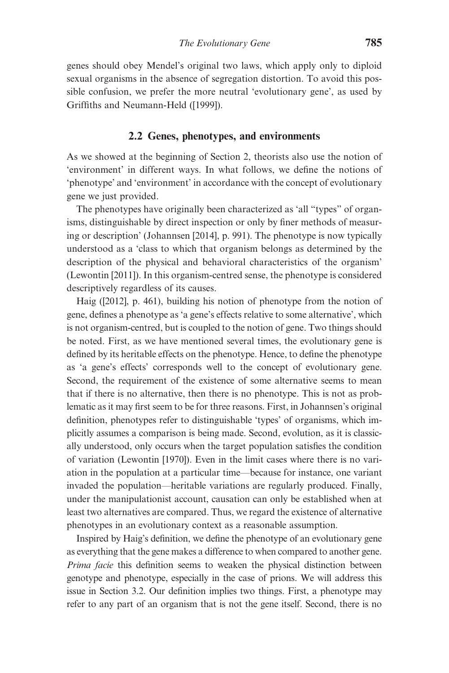genes should obey Mendel's original two laws, which apply only to diploid sexual organisms in the absence of segregation distortion. To avoid this possible confusion, we prefer the more neutral 'evolutionary gene', as used by Griffiths and Neumann-Held ([[1999\]](#page-22-0)).

## 2.2 Genes, phenotypes, and environments

As we showed at the beginning of Section 2, theorists also use the notion of 'environment' in different ways. In what follows, we define the notions of 'phenotype' and 'environment' in accordance with the concept of evolutionary gene we just provided.

The phenotypes have originally been characterized as 'all "types" of organisms, distinguishable by direct inspection or only by finer methods of measuring or description' ([Johannsen \[2014\],](#page-23-0) p. 991). The phenotype is now typically understood as a 'class to which that organism belongs as determined by the description of the physical and behavioral characteristics of the organism' ([Lewontin \[2011\]\)](#page-23-0). In this organism-centred sense, the phenotype is considered descriptively regardless of its causes.

Haig ([[2012](#page-22-0)], p. 461), building his notion of phenotype from the notion of gene, defines a phenotype as 'a gene's effects relative to some alternative', which is not organism-centred, but is coupled to the notion of gene. Two things should be noted. First, as we have mentioned several times, the evolutionary gene is defined by its heritable effects on the phenotype. Hence, to define the phenotype as 'a gene's effects' corresponds well to the concept of evolutionary gene. Second, the requirement of the existence of some alternative seems to mean that if there is no alternative, then there is no phenotype. This is not as problematic as it may first seem to be for three reasons. First, in Johannsen's original definition, phenotypes refer to distinguishable 'types' of organisms, which implicitly assumes a comparison is being made. Second, evolution, as it is classically understood, only occurs when the target population satisfies the condition of variation [\(Lewontin \[1970\]\)](#page-23-0). Even in the limit cases where there is no variation in the population at a particular time—because for instance, one variant invaded the population—heritable variations are regularly produced. Finally, under the manipulationist account, causation can only be established when at least two alternatives are compared. Thus, we regard the existence of alternative phenotypes in an evolutionary context as a reasonable assumption.

Inspired by Haig's definition, we define the phenotype of an evolutionary gene as everything that the gene makes a difference to when compared to another gene. Prima facie this definition seems to weaken the physical distinction between genotype and phenotype, especially in the case of prions. We will address this issue in Section 3.2. Our definition implies two things. First, a phenotype may refer to any part of an organism that is not the gene itself. Second, there is no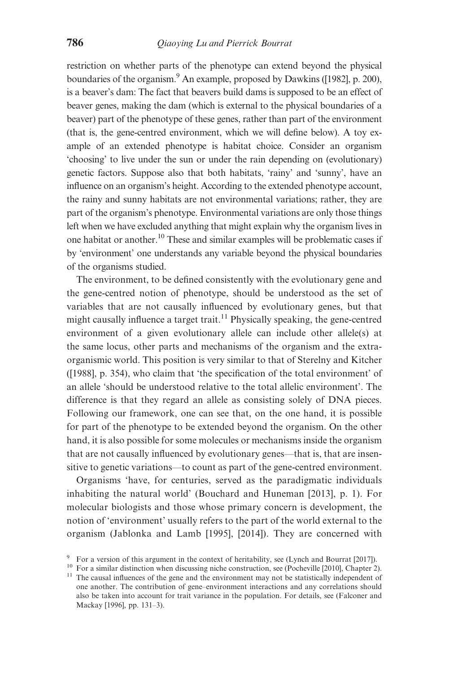restriction on whether parts of the phenotype can extend beyond the physical boundaries of the organism.<sup>9</sup> An example, proposed by Dawkins ([[1982\]](#page-21-0), p. 200), is a beaver's dam: The fact that beavers build dams is supposed to be an effect of beaver genes, making the dam (which is external to the physical boundaries of a beaver) part of the phenotype of these genes, rather than part of the environment (that is, the gene-centred environment, which we will define below). A toy example of an extended phenotype is habitat choice. Consider an organism 'choosing' to live under the sun or under the rain depending on (evolutionary) genetic factors. Suppose also that both habitats, 'rainy' and 'sunny', have an influence on an organism's height. According to the extended phenotype account, the rainy and sunny habitats are not environmental variations; rather, they are part of the organism's phenotype. Environmental variations are only those things left when we have excluded anything that might explain why the organism lives in one habitat or another.<sup>10</sup> These and similar examples will be problematic cases if by 'environment' one understands any variable beyond the physical boundaries of the organisms studied.

The environment, to be defined consistently with the evolutionary gene and the gene-centred notion of phenotype, should be understood as the set of variables that are not causally influenced by evolutionary genes, but that might causally influence a target trait.<sup>11</sup> Physically speaking, the gene-centred environment of a given evolutionary allele can include other allele(s) at the same locus, other parts and mechanisms of the organism and the extraorganismic world. This position is very similar to that of Sterelny and Kitcher ([\[1988](#page-25-0)], p. 354), who claim that 'the specification of the total environment' of an allele 'should be understood relative to the total allelic environment'. The difference is that they regard an allele as consisting solely of DNA pieces. Following our framework, one can see that, on the one hand, it is possible for part of the phenotype to be extended beyond the organism. On the other hand, it is also possible for some molecules or mechanisms inside the organism that are not causally influenced by evolutionary genes—that is, that are insensitive to genetic variations—to count as part of the gene-centred environment.

Organisms 'have, for centuries, served as the paradigmatic individuals inhabiting the natural world' ([Bouchard and Huneman \[2013\]](#page-21-0), p. 1). For molecular biologists and those whose primary concern is development, the notion of 'environment' usually refers to the part of the world external to the organism ([Jablonka and Lamb \[1995\], \[2014\]](#page-23-0)). They are concerned with

<sup>&</sup>lt;sup>9</sup> For a version of this argument in the context of heritability, see [\(Lynch and Bourrat \[2017\]\)](#page-23-0).<br><sup>10</sup> For a similar distinction when discussing niche construction, see [\(Pocheville \[2010\]](#page-24-0), Chapter 2).<br><sup>11</sup> The causal inf

one another. The contribution of gene–environment interactions and any correlations should also be taken into account for trait variance in the population. For details, see ([Falconer and](#page-22-0) [Mackay \[1996\]](#page-22-0), pp. 131–3).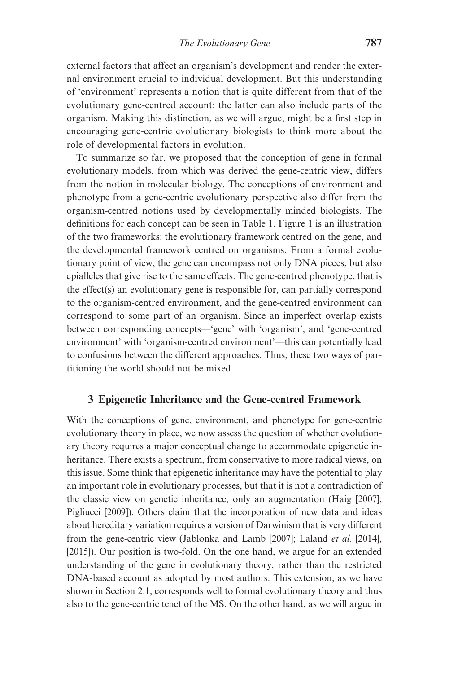external factors that affect an organism's development and render the external environment crucial to individual development. But this understanding of 'environment' represents a notion that is quite different from that of the evolutionary gene-centred account: the latter can also include parts of the organism. Making this distinction, as we will argue, might be a first step in encouraging gene-centric evolutionary biologists to think more about the role of developmental factors in evolution.

To summarize so far, we proposed that the conception of gene in formal evolutionary models, from which was derived the gene-centric view, differs from the notion in molecular biology. The conceptions of environment and phenotype from a gene-centric evolutionary perspective also differ from the organism-centred notions used by developmentally minded biologists. The definitions for each concept can be seen in [Table 1](#page-3-0). [Figure 1](#page-13-0) is an illustration of the two frameworks: the evolutionary framework centred on the gene, and the developmental framework centred on organisms. From a formal evolutionary point of view, the gene can encompass not only DNA pieces, but also epialleles that give rise to the same effects. The gene-centred phenotype, that is the effect(s) an evolutionary gene is responsible for, can partially correspond to the organism-centred environment, and the gene-centred environment can correspond to some part of an organism. Since an imperfect overlap exists between corresponding concepts—'gene' with 'organism', and 'gene-centred environment' with 'organism-centred environment'—this can potentially lead to confusions between the different approaches. Thus, these two ways of partitioning the world should not be mixed.

# 3 Epigenetic Inheritance and the Gene-centred Framework

With the conceptions of gene, environment, and phenotype for gene-centric evolutionary theory in place, we now assess the question of whether evolutionary theory requires a major conceptual change to accommodate epigenetic inheritance. There exists a spectrum, from conservative to more radical views, on this issue. Some think that epigenetic inheritance may have the potential to play an important role in evolutionary processes, but that it is not a contradiction of the classic view on genetic inheritance, only an augmentation ([Haig \[2007\];](#page-22-0) [Pigliucci \[2009\]](#page-24-0)). Others claim that the incorporation of new data and ideas about hereditary variation requires a version of Darwinism that is very different from the gene-centric view ([Jablonka and Lamb \[2007\]](#page-23-0); [Laland](#page-23-0) et al. [2014], [\[2015\]](#page-23-0)). Our position is two-fold. On the one hand, we argue for an extended understanding of the gene in evolutionary theory, rather than the restricted DNA-based account as adopted by most authors. This extension, as we have shown in Section 2.1, corresponds well to formal evolutionary theory and thus also to the gene-centric tenet of the MS. On the other hand, as we will argue in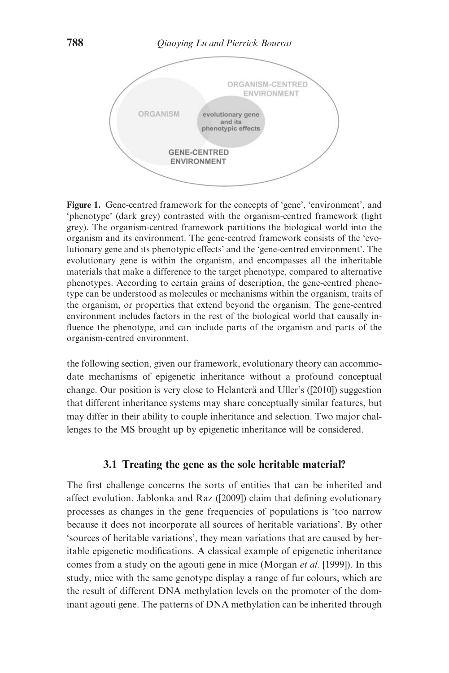<span id="page-13-0"></span>

Figure 1. Gene-centred framework for the concepts of 'gene', 'environment', and 'phenotype' (dark grey) contrasted with the organism-centred framework (light grey). The organism-centred framework partitions the biological world into the organism and its environment. The gene-centred framework consists of the 'evolutionary gene and its phenotypic effects' and the 'gene-centred environment'. The evolutionary gene is within the organism, and encompasses all the inheritable materials that make a difference to the target phenotype, compared to alternative phenotypes. According to certain grains of description, the gene-centred phenotype can be understood as molecules or mechanisms within the organism, traits of the organism, or properties that extend beyond the organism. The gene-centred environment includes factors in the rest of the biological world that causally influence the phenotype, and can include parts of the organism and parts of the organism-centred environment.

the following section, given our framework, evolutionary theory can accommodate mechanisms of epigenetic inheritance without a profound conceptual change. Our position is very close to Helantera and Uller's ([\[2010\]](#page-22-0)) suggestion that different inheritance systems may share conceptually similar features, but may differ in their ability to couple inheritance and selection. Two major challenges to the MS brought up by epigenetic inheritance will be considered.

# 3.1 Treating the gene as the sole heritable material?

The first challenge concerns the sorts of entities that can be inherited and affect evolution. Jablonka and Raz ([\[2009](#page-23-0)]) claim that defining evolutionary processes as changes in the gene frequencies of populations is 'too narrow because it does not incorporate all sources of heritable variations'. By other 'sources of heritable variations', they mean variations that are caused by heritable epigenetic modifications. A classical example of epigenetic inheritance comes from a study on the agouti gene in mice [\(Morgan](#page-24-0) et al. [1999]). In this study, mice with the same genotype display a range of fur colours, which are the result of different DNA methylation levels on the promoter of the dominant agouti gene. The patterns of DNA methylation can be inherited through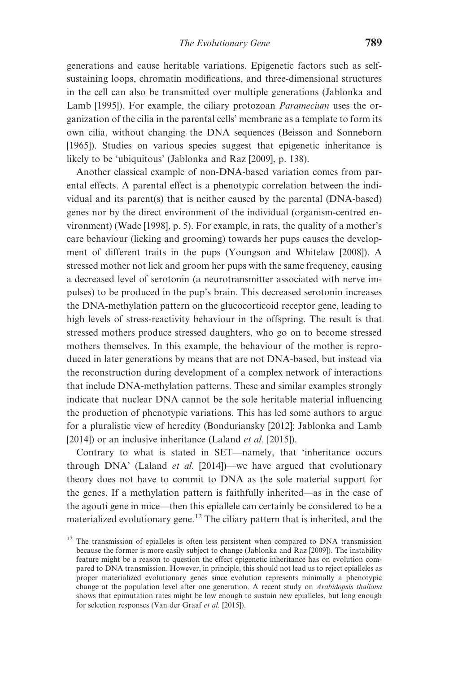generations and cause heritable variations. Epigenetic factors such as selfsustaining loops, chromatin modifications, and three-dimensional structures in the cell can also be transmitted over multiple generations ([Jablonka and](#page-23-0) [Lamb \[1995\]](#page-23-0)). For example, the ciliary protozoan *Paramecium* uses the organization of the cilia in the parental cells' membrane as a template to form its own cilia, without changing the DNA sequences ([Beisson and Sonneborn](#page-21-0) [\[1965\]\)](#page-21-0). Studies on various species suggest that epigenetic inheritance is likely to be 'ubiquitous' [\(Jablonka and Raz \[2009\]](#page-23-0), p. 138).

Another classical example of non-DNA-based variation comes from parental effects. A parental effect is a phenotypic correlation between the individual and its parent(s) that is neither caused by the parental (DNA-based) genes nor by the direct environment of the individual (organism-centred environment) ([Wade \[1998\],](#page-25-0) p. 5). For example, in rats, the quality of a mother's care behaviour (licking and grooming) towards her pups causes the development of different traits in the pups [\(Youngson and Whitelaw \[2008\]\)](#page-25-0). A stressed mother not lick and groom her pups with the same frequency, causing a decreased level of serotonin (a neurotransmitter associated with nerve impulses) to be produced in the pup's brain. This decreased serotonin increases the DNA-methylation pattern on the glucocorticoid receptor gene, leading to high levels of stress-reactivity behaviour in the offspring. The result is that stressed mothers produce stressed daughters, who go on to become stressed mothers themselves. In this example, the behaviour of the mother is reproduced in later generations by means that are not DNA-based, but instead via the reconstruction during development of a complex network of interactions that include DNA-methylation patterns. These and similar examples strongly indicate that nuclear DNA cannot be the sole heritable material influencing the production of phenotypic variations. This has led some authors to argue for a pluralistic view of heredity [\(Bonduriansky \[2012\]](#page-21-0); [Jablonka and Lamb](#page-23-0) [\[2014](#page-23-0)]) or an inclusive inheritance ([Laland](#page-23-0) *et al.* [2015]).

Contrary to what is stated in SET—namely, that 'inheritance occurs through DNA' [\(Laland](#page-23-0) *et al.* [2014])—we have argued that evolutionary theory does not have to commit to DNA as the sole material support for the genes. If a methylation pattern is faithfully inherited—as in the case of the agouti gene in mice—then this epiallele can certainly be considered to be a materialized evolutionary gene.<sup>12</sup> The ciliary pattern that is inherited, and the

 $12$  The transmission of epialleles is often less persistent when compared to DNA transmission because the former is more easily subject to change ([Jablonka and Raz \[2009\]\)](#page-23-0). The instability feature might be a reason to question the effect epigenetic inheritance has on evolution compared to DNA transmission. However, in principle, this should not lead us to reject epialleles as proper materialized evolutionary genes since evolution represents minimally a phenotypic change at the population level after one generation. A recent study on Arabidopsis thaliana shows that epimutation rates might be low enough to sustain new epialleles, but long enough for selection responses ([Van der Graaf](#page-25-0) et al. [2015]).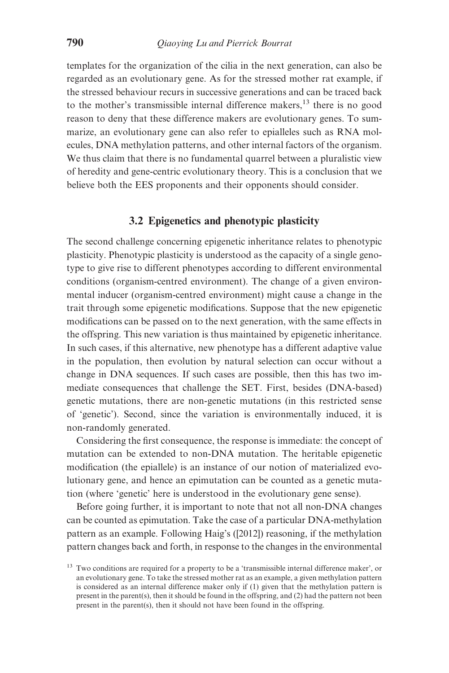templates for the organization of the cilia in the next generation, can also be regarded as an evolutionary gene. As for the stressed mother rat example, if the stressed behaviour recurs in successive generations and can be traced back to the mother's transmissible internal difference makers,  $^{13}$  there is no good reason to deny that these difference makers are evolutionary genes. To summarize, an evolutionary gene can also refer to epialleles such as RNA molecules, DNA methylation patterns, and other internal factors of the organism. We thus claim that there is no fundamental quarrel between a pluralistic view of heredity and gene-centric evolutionary theory. This is a conclusion that we believe both the EES proponents and their opponents should consider.

# 3.2 Epigenetics and phenotypic plasticity

The second challenge concerning epigenetic inheritance relates to phenotypic plasticity. Phenotypic plasticity is understood as the capacity of a single genotype to give rise to different phenotypes according to different environmental conditions (organism-centred environment). The change of a given environmental inducer (organism-centred environment) might cause a change in the trait through some epigenetic modifications. Suppose that the new epigenetic modifications can be passed on to the next generation, with the same effects in the offspring. This new variation is thus maintained by epigenetic inheritance. In such cases, if this alternative, new phenotype has a different adaptive value in the population, then evolution by natural selection can occur without a change in DNA sequences. If such cases are possible, then this has two immediate consequences that challenge the SET. First, besides (DNA-based) genetic mutations, there are non-genetic mutations (in this restricted sense of 'genetic'). Second, since the variation is environmentally induced, it is non-randomly generated.

Considering the first consequence, the response is immediate: the concept of mutation can be extended to non-DNA mutation. The heritable epigenetic modification (the epiallele) is an instance of our notion of materialized evolutionary gene, and hence an epimutation can be counted as a genetic mutation (where 'genetic' here is understood in the evolutionary gene sense).

Before going further, it is important to note that not all non-DNA changes can be counted as epimutation. Take the case of a particular DNA-methylation pattern as an example. Following Haig's ([\[2012\]](#page-22-0)) reasoning, if the methylation pattern changes back and forth, in response to the changes in the environmental

<sup>&</sup>lt;sup>13</sup> Two conditions are required for a property to be a 'transmissible internal difference maker', or an evolutionary gene. To take the stressed mother rat as an example, a given methylation pattern is considered as an internal difference maker only if (1) given that the methylation pattern is present in the parent(s), then it should be found in the offspring, and (2) had the pattern not been present in the parent(s), then it should not have been found in the offspring.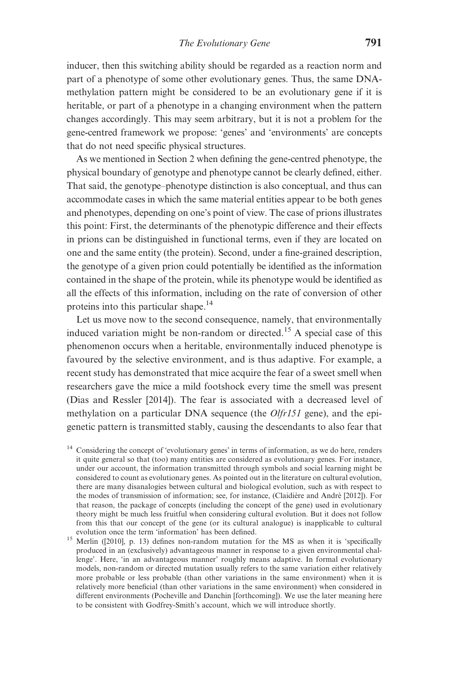inducer, then this switching ability should be regarded as a reaction norm and part of a phenotype of some other evolutionary genes. Thus, the same DNAmethylation pattern might be considered to be an evolutionary gene if it is heritable, or part of a phenotype in a changing environment when the pattern changes accordingly. This may seem arbitrary, but it is not a problem for the gene-centred framework we propose: 'genes' and 'environments' are concepts that do not need specific physical structures.

As we mentioned in Section 2 when defining the gene-centred phenotype, the physical boundary of genotype and phenotype cannot be clearly defined, either. That said, the genotype–phenotype distinction is also conceptual, and thus can accommodate cases in which the same material entities appear to be both genes and phenotypes, depending on one's point of view. The case of prions illustrates this point: First, the determinants of the phenotypic difference and their effects in prions can be distinguished in functional terms, even if they are located on one and the same entity (the protein). Second, under a fine-grained description, the genotype of a given prion could potentially be identified as the information contained in the shape of the protein, while its phenotype would be identified as all the effects of this information, including on the rate of conversion of other proteins into this particular shape.14

Let us move now to the second consequence, namely, that environmentally induced variation might be non-random or directed.<sup>15</sup> A special case of this phenomenon occurs when a heritable, environmentally induced phenotype is favoured by the selective environment, and is thus adaptive. For example, a recent study has demonstrated that mice acquire the fear of a sweet smell when researchers gave the mice a mild footshock every time the smell was present ([Dias and Ressler \[2014\]\)](#page-21-0). The fear is associated with a decreased level of methylation on a particular DNA sequence (the Olfr151 gene), and the epigenetic pattern is transmitted stably, causing the descendants to also fear that

Considering the concept of 'evolutionary genes' in terms of information, as we do here, renders it quite general so that (too) many entities are considered as evolutionary genes. For instance, under our account, the information transmitted through symbols and social learning might be considered to count as evolutionary genes. As pointed out in the literature on cultural evolution, there are many disanalogies between cultural and biological evolution, such as with respect to the modes of transmission of information; see, for instance, (Claidiere and André [[2012\]](#page-21-0)). For that reason, the package of concepts (including the concept of the gene) used in evolutionary theory might be much less fruitful when considering cultural evolution. But it does not follow from this that our concept of the gene (or its cultural analogue) is inapplicable to cultural

<sup>&</sup>lt;sup>15</sup> Merlin ([[2010\]](#page-24-0), p. 13) defines non-random mutation for the MS as when it is 'specifically produced in an (exclusively) advantageous manner in response to a given environmental challenge'. Here, 'in an advantageous manner' roughly means adaptive. In formal evolutionary models, non-random or directed mutation usually refers to the same variation either relatively more probable or less probable (than other variations in the same environment) when it is relatively more beneficial (than other variations in the same environment) when considered in different environments [\(Pocheville and Danchin \[forthcoming\]\)](#page-24-0). We use the later meaning here to be consistent with Godfrey-Smith's account, which we will introduce shortly.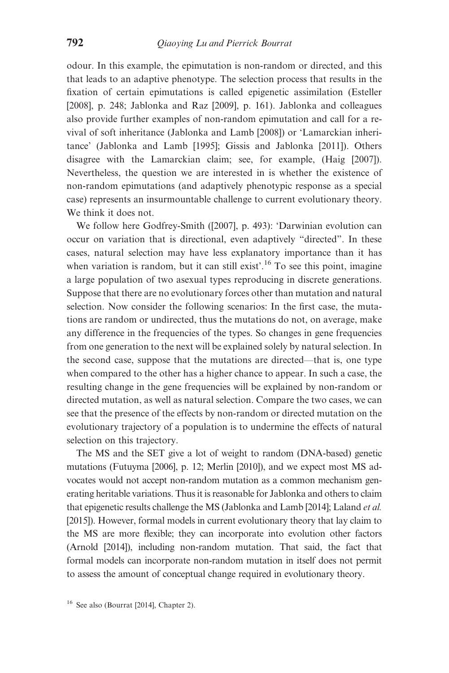odour. In this example, the epimutation is non-random or directed, and this that leads to an adaptive phenotype. The selection process that results in the fixation of certain epimutations is called epigenetic assimilation [\(Esteller](#page-22-0) [\[2008\],](#page-22-0) p. 248; [Jablonka and Raz \[2009\]](#page-23-0), p. 161). Jablonka and colleagues also provide further examples of non-random epimutation and call for a revival of soft inheritance [\(Jablonka and Lamb \[2008\]\)](#page-23-0) or 'Lamarckian inheritance' [\(Jablonka and Lamb \[1995\]](#page-23-0); [Gissis and Jablonka \[2011\]](#page-22-0)). Others disagree with the Lamarckian claim; see, for example, [\(Haig \[2007\]\)](#page-22-0). Nevertheless, the question we are interested in is whether the existence of non-random epimutations (and adaptively phenotypic response as a special case) represents an insurmountable challenge to current evolutionary theory. We think it does not.

We follow here Godfrey-Smith ([[2007\]](#page-22-0), p. 493): 'Darwinian evolution can occur on variation that is directional, even adaptively "directed". In these cases, natural selection may have less explanatory importance than it has when variation is random, but it can still exist<sup> $16$ </sup> To see this point, imagine a large population of two asexual types reproducing in discrete generations. Suppose that there are no evolutionary forces other than mutation and natural selection. Now consider the following scenarios: In the first case, the mutations are random or undirected, thus the mutations do not, on average, make any difference in the frequencies of the types. So changes in gene frequencies from one generation to the next will be explained solely by natural selection. In the second case, suppose that the mutations are directed—that is, one type when compared to the other has a higher chance to appear. In such a case, the resulting change in the gene frequencies will be explained by non-random or directed mutation, as well as natural selection. Compare the two cases, we can see that the presence of the effects by non-random or directed mutation on the evolutionary trajectory of a population is to undermine the effects of natural selection on this trajectory.

The MS and the SET give a lot of weight to random (DNA-based) genetic mutations [\(Futuyma \[2006\],](#page-22-0) p. 12; [Merlin \[2010\]](#page-24-0)), and we expect most MS advocates would not accept non-random mutation as a common mechanism generating heritable variations. Thus it is reasonable for Jablonka and others to claim that epigenetic results challenge the MS [\(Jablonka and Lamb \[2014\]](#page-23-0); [Laland](#page-23-0) et al. [\[2015\]\)](#page-23-0). However, formal models in current evolutionary theory that lay claim to the MS are more flexible; they can incorporate into evolution other factors ([Arnold \[2014\]](#page-20-0)), including non-random mutation. That said, the fact that formal models can incorporate non-random mutation in itself does not permit to assess the amount of conceptual change required in evolutionary theory.

<sup>&</sup>lt;sup>16</sup> See also ([Bourrat \[2014\],](#page-21-0) Chapter 2).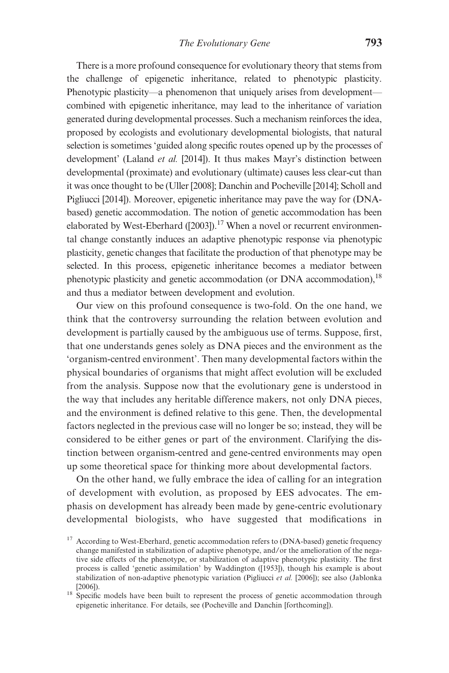There is a more profound consequence for evolutionary theory that stems from the challenge of epigenetic inheritance, related to phenotypic plasticity. Phenotypic plasticity—a phenomenon that uniquely arises from development combined with epigenetic inheritance, may lead to the inheritance of variation generated during developmental processes. Such a mechanism reinforces the idea, proposed by ecologists and evolutionary developmental biologists, that natural selection is sometimes 'guided along specific routes opened up by the processes of development' [\(Laland](#page-23-0) et al. [2014]). It thus makes Mayr's distinction between developmental (proximate) and evolutionary (ultimate) causes less clear-cut than it was once thought to be [\(Uller \[2008\];](#page-25-0) [Danchin and Pocheville \[2014\];](#page-21-0) [Scholl and](#page-24-0) [Pigliucci \[2014\]\)](#page-24-0). Moreover, epigenetic inheritance may pave the way for (DNAbased) genetic accommodation. The notion of genetic accommodation has been elaborated by West-Eberhard ( $[2003]$ ).<sup>17</sup> When a novel or recurrent environmental change constantly induces an adaptive phenotypic response via phenotypic plasticity, genetic changes that facilitate the production of that phenotype may be selected. In this process, epigenetic inheritance becomes a mediator between phenotypic plasticity and genetic accommodation (or DNA accommodation),  $^{18}$ and thus a mediator between development and evolution.

Our view on this profound consequence is two-fold. On the one hand, we think that the controversy surrounding the relation between evolution and development is partially caused by the ambiguous use of terms. Suppose, first, that one understands genes solely as DNA pieces and the environment as the 'organism-centred environment'. Then many developmental factors within the physical boundaries of organisms that might affect evolution will be excluded from the analysis. Suppose now that the evolutionary gene is understood in the way that includes any heritable difference makers, not only DNA pieces, and the environment is defined relative to this gene. Then, the developmental factors neglected in the previous case will no longer be so; instead, they will be considered to be either genes or part of the environment. Clarifying the distinction between organism-centred and gene-centred environments may open up some theoretical space for thinking more about developmental factors.

On the other hand, we fully embrace the idea of calling for an integration of development with evolution, as proposed by EES advocates. The emphasis on development has already been made by gene-centric evolutionary developmental biologists, who have suggested that modifications in

<sup>&</sup>lt;sup>17</sup> According to West-Eberhard, genetic accommodation refers to (DNA-based) genetic frequency change manifested in stabilization of adaptive phenotype, and/or the amelioration of the negative side effects of the phenotype, or stabilization of adaptive phenotypic plasticity. The first process is called 'genetic assimilation' by Waddington ([\[1953\]](#page-25-0)), though his example is about stabilization of non-adaptive phenotypic variation ([Pigliucci](#page-24-0) et al. [2006]); see also [\(Jablonka](#page-22-0) [\[2006\]](#page-22-0)). <sup>18</sup> Specific models have been built to represent the process of genetic accommodation through

epigenetic inheritance. For details, see ([Pocheville and Danchin \[forthcoming\]\)](#page-24-0).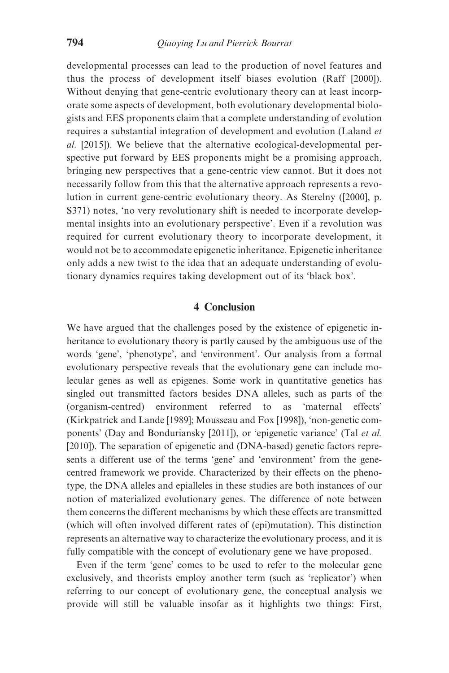developmental processes can lead to the production of novel features and thus the process of development itself biases evolution [\(Raff \[2000\]\)](#page-24-0). Without denying that gene-centric evolutionary theory can at least incorporate some aspects of development, both evolutionary developmental biologists and EES proponents claim that a complete understanding of evolution requires a substantial integration of development and evolution ([Laland](#page-23-0) et al. [\[2015\]\)](#page-23-0). We believe that the alternative ecological-developmental perspective put forward by EES proponents might be a promising approach, bringing new perspectives that a gene-centric view cannot. But it does not necessarily follow from this that the alternative approach represents a revolution in current gene-centric evolutionary theory. As Sterelny ([\[2000\]](#page-24-0), p. S371) notes, 'no very revolutionary shift is needed to incorporate developmental insights into an evolutionary perspective'. Even if a revolution was required for current evolutionary theory to incorporate development, it would not be to accommodate epigenetic inheritance. Epigenetic inheritance only adds a new twist to the idea that an adequate understanding of evolutionary dynamics requires taking development out of its 'black box'.

#### 4 Conclusion

We have argued that the challenges posed by the existence of epigenetic inheritance to evolutionary theory is partly caused by the ambiguous use of the words 'gene', 'phenotype', and 'environment'. Our analysis from a formal evolutionary perspective reveals that the evolutionary gene can include molecular genes as well as epigenes. Some work in quantitative genetics has singled out transmitted factors besides DNA alleles, such as parts of the (organism-centred) environment referred to as 'maternal effects' ([Kirkpatrick and Lande \[1989\]](#page-23-0); [Mousseau and Fox \[1998\]\)](#page-24-0), 'non-genetic components' ([Day and Bonduriansky \[2011\]\)](#page-21-0), or 'epigenetic variance' (Tal [et al.](#page-25-0) [\[2010\]\)](#page-25-0). The separation of epigenetic and (DNA-based) genetic factors represents a different use of the terms 'gene' and 'environment' from the genecentred framework we provide. Characterized by their effects on the phenotype, the DNA alleles and epialleles in these studies are both instances of our notion of materialized evolutionary genes. The difference of note between them concerns the different mechanisms by which these effects are transmitted (which will often involved different rates of (epi)mutation). This distinction represents an alternative way to characterize the evolutionary process, and it is fully compatible with the concept of evolutionary gene we have proposed.

Even if the term 'gene' comes to be used to refer to the molecular gene exclusively, and theorists employ another term (such as 'replicator') when referring to our concept of evolutionary gene, the conceptual analysis we provide will still be valuable insofar as it highlights two things: First,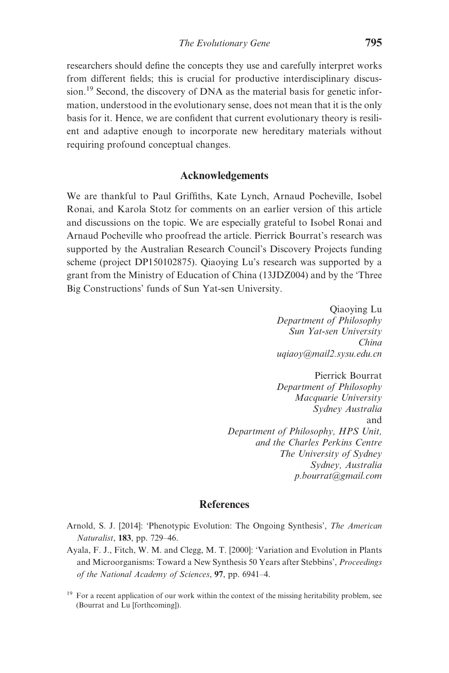<span id="page-20-0"></span>researchers should define the concepts they use and carefully interpret works from different fields; this is crucial for productive interdisciplinary discussion.<sup>19</sup> Second, the discovery of DNA as the material basis for genetic information, understood in the evolutionary sense, does not mean that it is the only basis for it. Hence, we are confident that current evolutionary theory is resilient and adaptive enough to incorporate new hereditary materials without requiring profound conceptual changes.

# Acknowledgements

We are thankful to Paul Griffiths, Kate Lynch, Arnaud Pocheville, Isobel Ronai, and Karola Stotz for comments on an earlier version of this article and discussions on the topic. We are especially grateful to Isobel Ronai and Arnaud Pocheville who proofread the article. Pierrick Bourrat's research was supported by the Australian Research Council's Discovery Projects funding scheme (project DP150102875). Qiaoying Lu's research was supported by a grant from the Ministry of Education of China (13JDZ004) and by the 'Three Big Constructions' funds of Sun Yat-sen University.

> Qiaoying Lu Department of Philosophy Sun Yat-sen University China uqiaoy@mail2.sysu.edu.cn

Pierrick Bourrat Department of Philosophy Macquarie University Sydney Australia and Department of Philosophy, HPS Unit, and the Charles Perkins Centre The University of Sydney Sydney, Australia p.bourrat@gmail.com

#### References

- Arnold, S. J. [2014]: 'Phenotypic Evolution: The Ongoing Synthesis', The American Naturalist, 183, pp. 729–46.
- Ayala, F. J., Fitch, W. M. and Clegg, M. T. [2000]: 'Variation and Evolution in Plants and Microorganisms: Toward a New Synthesis 50 Years after Stebbins', Proceedings of the National Academy of Sciences, 97, pp. 6941–4.

<sup>&</sup>lt;sup>19</sup> For a recent application of our work within the context of the missing heritability problem, see ([Bourrat and Lu \[forthcoming\]](#page-21-0)).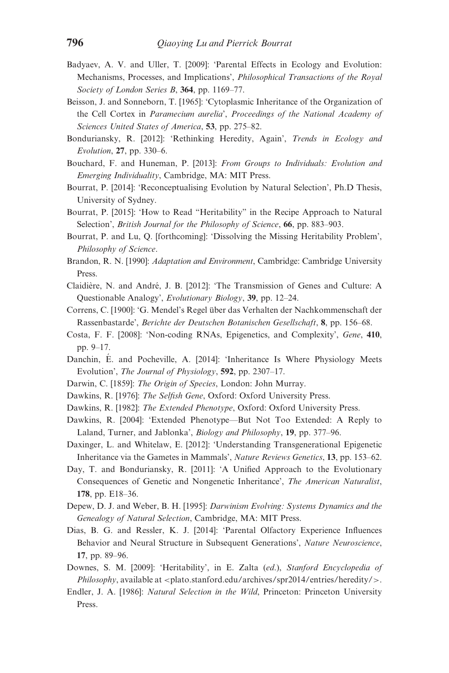- <span id="page-21-0"></span>Badyaev, A. V. and Uller, T. [2009]: 'Parental Effects in Ecology and Evolution: Mechanisms, Processes, and Implications', Philosophical Transactions of the Royal Society of London Series B, 364, pp. 1169-77.
- Beisson, J. and Sonneborn, T. [1965]: 'Cytoplasmic Inheritance of the Organization of the Cell Cortex in Paramecium aurelia', Proceedings of the National Academy of Sciences United States of America, 53, pp. 275–82.
- Bonduriansky, R. [2012]: 'Rethinking Heredity, Again', Trends in Ecology and Evolution, 27, pp. 330–6.
- Bouchard, F. and Huneman, P. [2013]: From Groups to Individuals: Evolution and Emerging Individuality, Cambridge, MA: MIT Press.
- Bourrat, P. [2014]: 'Reconceptualising Evolution by Natural Selection', Ph.D Thesis, University of Sydney.
- Bourrat, P. [2015]: 'How to Read "Heritability" in the Recipe Approach to Natural Selection', *British Journal for the Philosophy of Science*, 66, pp. 883–903.
- Bourrat, P. and Lu, Q. [forthcoming]: 'Dissolving the Missing Heritability Problem', Philosophy of Science.
- Brandon, R. N. [1990]: *Adaptation and Environment*, Cambridge: Cambridge University Press.
- Claidière, N. and André, J. B. [2012]: 'The Transmission of Genes and Culture: A Questionable Analogy', Evolutionary Biology, 39, pp. 12–24.
- Correns, C. [1900]: 'G. Mendel's Regel über das Verhalten der Nachkommenschaft der Rassenbastarde', Berichte der Deutschen Botanischen Gesellschaft, 8, pp. 156–68.
- Costa, F. F. [2008]: 'Non-coding RNAs, Epigenetics, and Complexity', Gene, 410, pp. 9–17.
- Danchin, E. and Pocheville, A. [2014]: 'Inheritance Is Where Physiology Meets Evolution', The Journal of Physiology, 592, pp. 2307-17.
- Darwin, C. [1859]: *The Origin of Species*, London: John Murray.
- Dawkins, R. [1976]: The Selfish Gene, Oxford: Oxford University Press.
- Dawkins, R. [1982]: The Extended Phenotype, Oxford: Oxford University Press.
- Dawkins, R. [2004]: 'Extended Phenotype—But Not Too Extended: A Reply to Laland, Turner, and Jablonka', Biology and Philosophy, 19, pp. 377–96.
- Daxinger, L. and Whitelaw, E. [2012]: 'Understanding Transgenerational Epigenetic Inheritance via the Gametes in Mammals', Nature Reviews Genetics, 13, pp. 153–62.
- Day, T. and Bonduriansky, R. [2011]: 'A Unified Approach to the Evolutionary Consequences of Genetic and Nongenetic Inheritance', The American Naturalist, 178, pp. E18–36.
- Depew, D. J. and Weber, B. H. [1995]: Darwinism Evolving: Systems Dynamics and the Genealogy of Natural Selection, Cambridge, MA: MIT Press.
- Dias, B. G. and Ressler, K. J. [2014]: 'Parental Olfactory Experience Influences Behavior and Neural Structure in Subsequent Generations', Nature Neuroscience, 17, pp. 89–96.
- Downes, S. M. [2009]: 'Heritability', in E. Zalta (ed.), Stanford Encyclopedia of  $Philosophv$ , available at  $\lt$ plato.stanford.edu/archives/spr2014/entries/heredity/ $\gt$ .
- Endler, J. A. [1986]: Natural Selection in the Wild, Princeton: Princeton University Press.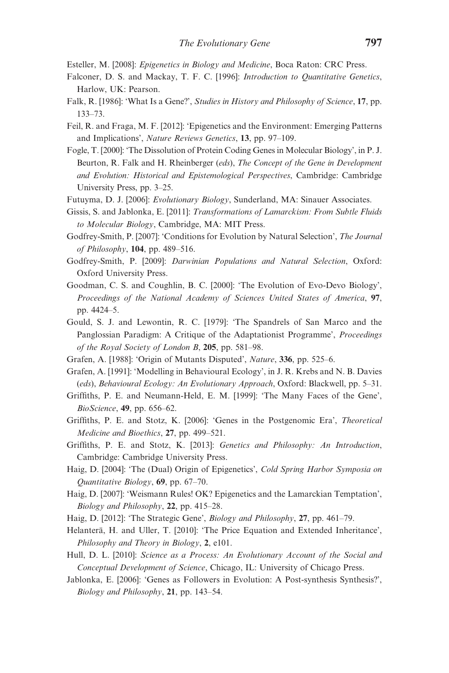<span id="page-22-0"></span>Esteller, M. [2008]: Epigenetics in Biology and Medicine, Boca Raton: CRC Press.

- Falconer, D. S. and Mackay, T. F. C. [1996]: Introduction to Quantitative Genetics, Harlow, UK: Pearson.
- Falk, R. [1986]: 'What Is a Gene?', Studies in History and Philosophy of Science, 17, pp. 133–73.
- Feil, R. and Fraga, M. F. [2012]: 'Epigenetics and the Environment: Emerging Patterns and Implications', Nature Reviews Genetics, 13, pp. 97–109.
- Fogle, T. [2000]: 'The Dissolution of Protein Coding Genes in Molecular Biology', in P. J. Beurton, R. Falk and H. Rheinberger (eds), The Concept of the Gene in Development and Evolution: Historical and Epistemological Perspectives, Cambridge: Cambridge University Press, pp. 3–25.
- Futuyma, D. J. [2006]: Evolutionary Biology, Sunderland, MA: Sinauer Associates.
- Gissis, S. and Jablonka, E. [2011]: Transformations of Lamarckism: From Subtle Fluids to Molecular Biology, Cambridge, MA: MIT Press.
- Godfrey-Smith, P. [2007]: 'Conditions for Evolution by Natural Selection', The Journal of Philosophy,  $104$ , pp. 489–516.
- Godfrey-Smith, P. [2009]: Darwinian Populations and Natural Selection, Oxford: Oxford University Press.
- Goodman, C. S. and Coughlin, B. C. [2000]: 'The Evolution of Evo-Devo Biology', Proceedings of the National Academy of Sciences United States of America, 97, pp. 4424–5.
- Gould, S. J. and Lewontin, R. C. [1979]: 'The Spandrels of San Marco and the Panglossian Paradigm: A Critique of the Adaptationist Programme', Proceedings of the Royal Society of London B, 205, pp. 581–98.
- Grafen, A. [1988]: 'Origin of Mutants Disputed', Nature, 336, pp. 525–6.
- Grafen, A. [1991]: 'Modelling in Behavioural Ecology', in J. R. Krebs and N. B. Davies (eds), Behavioural Ecology: An Evolutionary Approach, Oxford: Blackwell, pp. 5–31.
- Griffiths, P. E. and Neumann-Held, E. M. [1999]: 'The Many Faces of the Gene', BioScience, 49, pp. 656–62.
- Griffiths, P. E. and Stotz, K. [2006]: 'Genes in the Postgenomic Era', Theoretical Medicine and Bioethics, 27, pp. 499–521.
- Griffiths, P. E. and Stotz, K. [2013]: Genetics and Philosophy: An Introduction, Cambridge: Cambridge University Press.
- Haig, D. [2004]: 'The (Dual) Origin of Epigenetics', Cold Spring Harbor Symposia on *Quantitative Biology*,  $69$ , pp.  $67-70$ .
- Haig, D. [2007]: 'Weismann Rules! OK? Epigenetics and the Lamarckian Temptation', Biology and Philosophy, 22, pp. 415–28.
- Haig, D. [2012]: 'The Strategic Gene', Biology and Philosophy, 27, pp. 461–79.
- Helanterä, H. and Uller, T. [2010]: 'The Price Equation and Extended Inheritance', Philosophy and Theory in Biology, 2, e101.
- Hull, D. L. [2010]: Science as a Process: An Evolutionary Account of the Social and Conceptual Development of Science, Chicago, IL: University of Chicago Press.
- Jablonka, E. [2006]: 'Genes as Followers in Evolution: A Post-synthesis Synthesis?', Biology and Philosophy, 21, pp. 143–54.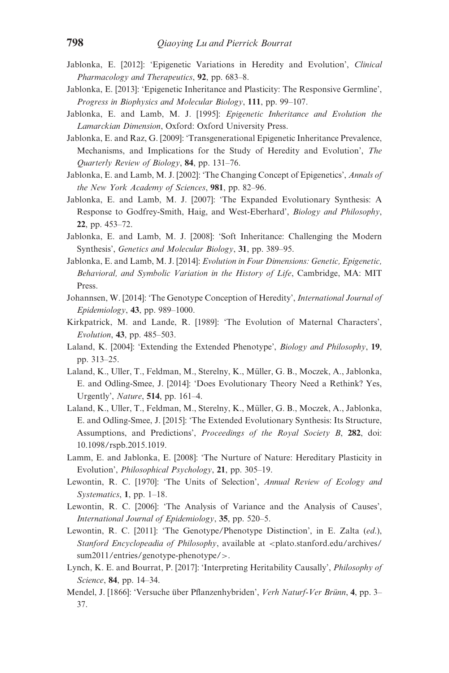- <span id="page-23-0"></span>Jablonka, E. [2012]: 'Epigenetic Variations in Heredity and Evolution', Clinical Pharmacology and Therapeutics, 92, pp. 683–8.
- Jablonka, E. [2013]: 'Epigenetic Inheritance and Plasticity: The Responsive Germline', Progress in Biophysics and Molecular Biology, 111, pp. 99–107.
- Jablonka, E. and Lamb, M. J. [1995]: Epigenetic Inheritance and Evolution the Lamarckian Dimension, Oxford: Oxford University Press.
- Jablonka, E. and Raz, G. [2009]: 'Transgenerational Epigenetic Inheritance Prevalence, Mechanisms, and Implications for the Study of Heredity and Evolution', The Quarterly Review of Biology, 84, pp. 131–76.
- Jablonka, E. and Lamb, M. J. [2002]: 'The Changing Concept of Epigenetics', Annals of the New York Academy of Sciences, 981, pp. 82-96.
- Jablonka, E. and Lamb, M. J. [2007]: 'The Expanded Evolutionary Synthesis: A Response to Godfrey-Smith, Haig, and West-Eberhard', Biology and Philosophy, 22, pp. 453–72.
- Jablonka, E. and Lamb, M. J. [2008]: 'Soft Inheritance: Challenging the Modern Synthesis', Genetics and Molecular Biology, 31, pp. 389–95.
- Jablonka, E. and Lamb, M. J. [2014]: Evolution in Four Dimensions: Genetic, Epigenetic, Behavioral, and Symbolic Variation in the History of Life, Cambridge, MA: MIT Press.
- Johannsen, W. [2014]: 'The Genotype Conception of Heredity', International Journal of  $Epidemiology, 43, pp. 989-1000.$
- Kirkpatrick, M. and Lande, R. [1989]: 'The Evolution of Maternal Characters', Evolution, 43, pp. 485–503.
- Laland, K. [2004]: 'Extending the Extended Phenotype', *Biology and Philosophy*, 19, pp. 313–25.
- Laland, K., Uller, T., Feldman, M., Sterelny, K., Müller, G. B., Moczek, A., Jablonka, E. and Odling-Smee, J. [2014]: 'Does Evolutionary Theory Need a Rethink? Yes, Urgently', Nature, 514, pp. 161–4.
- Laland, K., Uller, T., Feldman, M., Sterelny, K., Müller, G. B., Moczek, A., Jablonka, E. and Odling-Smee, J. [2015]: 'The Extended Evolutionary Synthesis: Its Structure, Assumptions, and Predictions', Proceedings of the Royal Society B, 282, doi: 10.1098/rspb.2015.1019.
- Lamm, E. and Jablonka, E. [2008]: 'The Nurture of Nature: Hereditary Plasticity in Evolution', Philosophical Psychology, 21, pp. 305–19.
- Lewontin, R. C. [1970]: 'The Units of Selection', Annual Review of Ecology and Systematics, 1, pp. 1–18.
- Lewontin, R. C. [2006]: 'The Analysis of Variance and the Analysis of Causes', International Journal of Epidemiology, 35, pp. 520–5.
- Lewontin, R. C. [2011]: 'The Genotype/Phenotype Distinction', in E. Zalta (ed.), Stanford Encyclopeadia of Philosophy, available at <plato.stanford.edu/archives/ sum2011/entries/genotype-phenotype/>.
- Lynch, K. E. and Bourrat, P. [2017]: 'Interpreting Heritability Causally', Philosophy of Science, 84, pp. 14–34.
- Mendel, J. [1866]: 'Versuche über Pflanzenhybriden', Verh Naturf-Ver Brünn, 4, pp. 3– 37.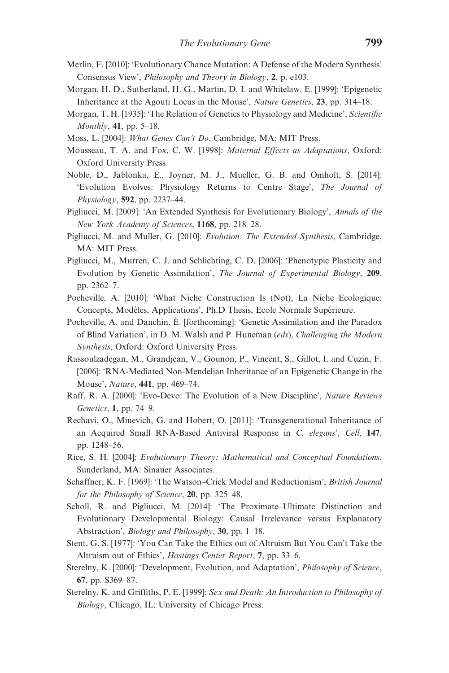- <span id="page-24-0"></span>Merlin, F. [2010]: 'Evolutionary Chance Mutation: A Defense of the Modern Synthesis' Consensus View', Philosophy and Theory in Biology, 2, p. e103.
- Morgan, H. D., Sutherland, H. G., Martin, D. I. and Whitelaw, E. [1999]: 'Epigenetic Inheritance at the Agouti Locus in the Mouse', Nature Genetics, 23, pp. 314–18.
- Morgan, T. H. [1935]: 'The Relation of Genetics to Physiology and Medicine', Scientific Monthly,  $41$ , pp. 5–18.
- Moss, L. [2004]: What Genes Can't Do, Cambridge, MA: MIT Press.
- Mousseau, T. A. and Fox, C. W. [1998]: Maternal Effects as Adaptations, Oxford: Oxford University Press.
- Noble, D., Jablonka, E., Joyner, M. J., Mueller, G. B. and Omholt, S. [2014]: 'Evolution Evolves: Physiology Returns to Centre Stage', The Journal of Physiology, 592, pp. 2237–44.
- Pigliucci, M. [2009]: 'An Extended Synthesis for Evolutionary Biology', Annals of the New York Academy of Sciences, 1168, pp. 218–28.
- Pigliucci, M. and Muller, G. [2010]: Evolution: The Extended Synthesis, Cambridge, MA: MIT Press.
- Pigliucci, M., Murren, C. J. and Schlichting, C. D. [2006]: 'Phenotypic Plasticity and Evolution by Genetic Assimilation', The Journal of Experimental Biology, 209, pp. 2362–7.
- Pocheville, A. [2010]: 'What Niche Construction Is (Not), La Niche Ecologique: Concepts, Modèles, Applications', Ph.D Thesis, Ecole Normale Supérieure.
- Pocheville, A. and Danchin, E. [forthcoming]: 'Genetic Assimilation and the Paradox of Blind Variation', in D. M. Walsh and P. Huneman (eds), Challenging the Modern Synthesis, Oxford: Oxford University Press.
- Rassoulzadegan, M., Grandjean, V., Gounon, P., Vincent, S., Gillot, I. and Cuzin, F. [2006]: 'RNA-Mediated Non-Mendelian Inheritance of an Epigenetic Change in the Mouse', Nature, 441, pp. 469–74.
- Raff, R. A. [2000]: 'Evo-Devo: The Evolution of a New Discipline', Nature Reviews Genetics, 1, pp. 74–9.
- Rechavi, O., Minevich, G. and Hobert, O. [2011]: 'Transgenerational Inheritance of an Acquired Small RNA-Based Antiviral Response in C. elegans', Cell, 147, pp. 1248–56.
- Rice, S. H. [2004]: Evolutionary Theory: Mathematical and Conceptual Foundations, Sunderland, MA: Sinauer Associates.
- Schaffner, K. F. [1969]: 'The Watson–Crick Model and Reductionism', British Journal for the Philosophy of Science, 20, pp. 325–48.
- Scholl, R. and Pigliucci, M. [2014]: 'The Proximate–Ultimate Distinction and Evolutionary Developmental Biology: Causal Irrelevance versus Explanatory Abstraction', Biology and Philosophy, 30, pp. 1–18.
- Stent, G. S. [1977]: 'You Can Take the Ethics out of Altruism But You Can't Take the Altruism out of Ethics', Hastings Center Report, 7, pp. 33–6.
- Sterelny, K. [2000]: 'Development, Evolution, and Adaptation', Philosophy of Science, 67, pp. S369–87.
- Sterelny, K. and Griffiths, P. E. [1999]: Sex and Death: An Introduction to Philosophy of Biology, Chicago, IL: University of Chicago Press.